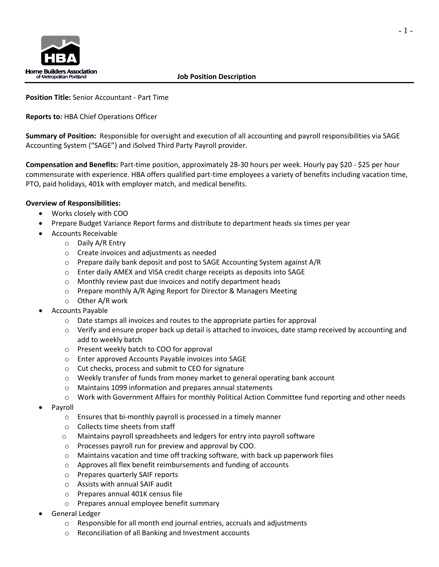

**Position Title:** Senior Accountant - Part Time

**Reports to:** HBA Chief Operations Officer

**Summary of Position:** Responsible for oversight and execution of all accounting and payroll responsibilities via SAGE Accounting System ("SAGE") and iSolved Third Party Payroll provider.

**Compensation and Benefits:** Part-time position, approximately 28-30 hours per week. Hourly pay \$20 - \$25 per hour commensurate with experience. HBA offers qualified part-time employees a variety of benefits including vacation time, PTO, paid holidays, 401k with employer match, and medical benefits.

## **Overview of Responsibilities:**

- Works closely with COO
- Prepare Budget Variance Report forms and distribute to department heads six times per year
	- Accounts Receivable
		- o Daily A/R Entry
		- o Create invoices and adjustments as needed
		- $\circ$  Prepare daily bank deposit and post to SAGE Accounting System against A/R
		- o Enter daily AMEX and VISA credit charge receipts as deposits into SAGE
		- o Monthly review past due invoices and notify department heads
		- o Prepare monthly A/R Aging Report for Director & Managers Meeting
		- o Other A/R work
- Accounts Payable
	- $\circ$  Date stamps all invoices and routes to the appropriate parties for approval
	- $\circ$  Verify and ensure proper back up detail is attached to invoices, date stamp received by accounting and add to weekly batch
	- o Present weekly batch to COO for approval
	- o Enter approved Accounts Payable invoices into SAGE
	- o Cut checks, process and submit to CEO for signature
	- o Weekly transfer of funds from money market to general operating bank account
	- o Maintains 1099 information and prepares annual statements
	- o Work with Government Affairs for monthly Political Action Committee fund reporting and other needs
- Payroll
	- o Ensures that bi-monthly payroll is processed in a timely manner
	- o Collects time sheets from staff
	- o Maintains payroll spreadsheets and ledgers for entry into payroll software
	- o Processes payroll run for preview and approval by COO.
	- $\circ$  Maintains vacation and time off tracking software, with back up paperwork files
	- o Approves all flex benefit reimbursements and funding of accounts
	- o Prepares quarterly SAIF reports
	- o Assists with annual SAIF audit
	- o Prepares annual 401K census file
	- o Prepares annual employee benefit summary
- General Ledger
	- o Responsible for all month end journal entries, accruals and adjustments
	- o Reconciliation of all Banking and Investment accounts